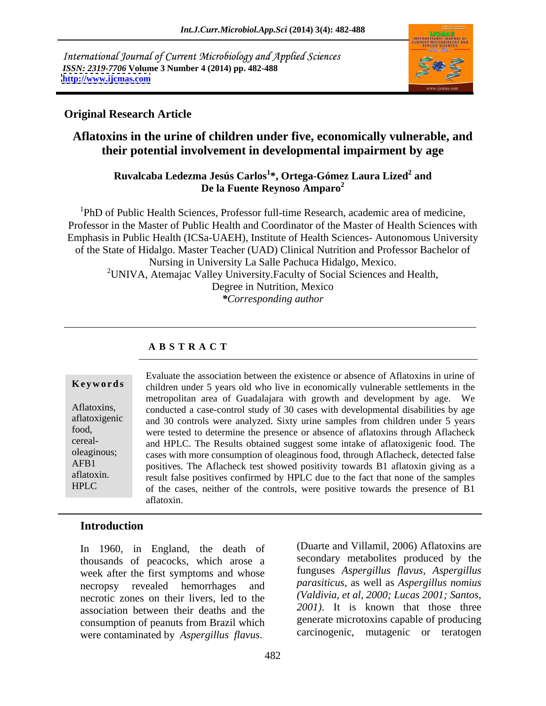International Journal of Current Microbiology and Applied Sciences *ISSN: 2319-7706* **Volume 3 Number 4 (2014) pp. 482-488 <http://www.ijcmas.com>**



### **Original Research Article**

# **Aflatoxins in the urine of children under five, economically vulnerable, and their potential involvement in developmental impairment by age**

### **Ruvalcaba Ledezma Jesús Carlos<sup>1</sup> \*, Ortega-Gómez Laura Lized<sup>2</sup> and De la Fuente Reynoso Amparo2**

<sup>1</sup>PhD of Public Health Sciences, Professor full-time Research, academic area of medicine, Professor in the Master of Public Health and Coordinator of the Master of Health Sciences with Emphasis in Public Health (ICSa-UAEH), Institute of Health Sciences- Autonomous University of the State of Hidalgo. Master Teacher (UAD) Clinical Nutrition and Professor Bachelor of Nursing in University La Salle Pachuca Hidalgo, Mexico. <sup>2</sup> UNIVA, Atemajac Valley University. Faculty of Social Sciences and Health, Degree in Nutrition, Mexico *\*Corresponding author*

### **A B S T R A C T**

**Keywords** children under 5 years old who live in economically vulnerable settlements in the Aflatoxins, conducted a case-control study of 30 cases with developmental disabilities by age aflatoxigenic and 30 controls were analyzed. Sixty urine samples from children under 5 years food, were tested to determine the presence or absence of aflatoxins through Aflacheck cereal- and HPLC. The Results obtained suggest some intake of aflatoxigenic food. The oleaginous; cases with more consumption of oleaginous food, through Aflacheck, detected false AFB1 positives. The Aflacheck test showed positivity towards B1 aflatoxin giving as a aflatoxin. result false positives confirmed by HPLC due to the fact that none of the samples HPLC of the cases, neither of the controls, were positive towards the presence of B1 Evaluate the association between the existence or absence of Aflatoxinsin urine of metropolitan area of Guadalajara with growth and development by age. We aflatoxin.

## **Introduction**

thousands of peacocks, which arose a week after the first symptoms and whose necropsy revealed hemorrhages and necrotic zones on their livers, led to the association between their deaths and the consumption of peanuts from Brazil which

In 1960, in England, the death of (Duarte and Villamil, 2006) Aflatoxins are In 1960, in England, the death of (Duarte and Villamil, 2006) Aflatoxins are<br>thousands of peacocks, which arose a secondary metabolites produced by the<br>week after the first symptoms and whose funguses *Aspergillus flavus*, secondary metabolites produced by the funguses *Aspergillus flavus, Aspergillus parasiticus*, as well as *Aspergillus nomius (Valdivia, et al, 2000; Lucas 2001; Santos, 2001)*. It is known that those three generate microtoxins capable of producing carcinogenic, mutagenic or teratogen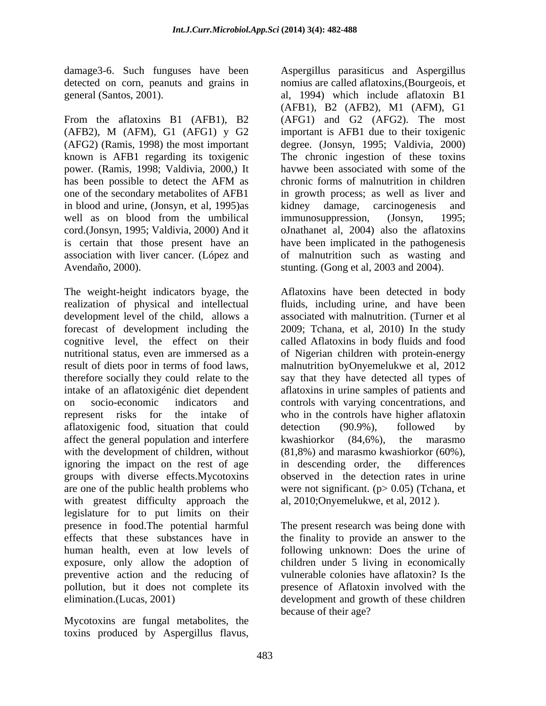From the aflatoxins B1 (AFB1), B2 (AFG1) and G2 (AFG2). The most (AFB2), M (AFM), G1 (AFG1) y G2 (AFG2) (Ramis, 1998) the most important degree. (Jonsyn, 1995; Valdivia, 2000) known is AFB1 regarding its toxigenic The chronic ingestion of these toxins power. (Ramis, 1998; Valdivia, 2000,) It has been possible to detect the AFM as chronic forms of malnutrition in children one of the secondary metabolites of AFB1 in growth process; as well as liver and in blood and urine, (Jonsyn, et al, 1995)as kidney damage, carcinogenesis and well as on blood from the umbilical immunosuppression, (Jonsyn, 1995; cord.(Jonsyn, 1995; Valdivia, 2000) And it oJnathanet al, 2004) also the aflatoxins is certain that those present have an have been implicated in the pathogenesis association with liver cancer. (López and of malnutrition such as wasting and Avendaño, 2000). Stunting. (Gong et al, 2003 and 2004).

The weight-height indicators byage, the Aflatoxins have been detected in body realization of physical and intellectual fluids, including urine, and have been development level of the child, allows a forecast of development including the 2009; Tchana, et al, 2010) In the study cognitive level, the effect on their called Aflatoxins in body fluids and food nutritional status, even are immersed as a of Nigerian children with protein-energy result of diets poor in terms of food laws, malnutrition byOnyemelukwe et al,2012 therefore socially they could relate to the say that they have detected all types of intake of an aflatoxigénic diet dependent aflatoxins in urine samples of patients and on socio-economic indicators and controls with varying concentrations, and represent risks for the intake of who in the controls have higher aflatoxin aflatoxigenic food, situation that could detection (90.9%), followed by affect the general population and interfere  $\mu$  kwashiorkor (84,6%), the marasmo with the development of children, without (81,8%) and marasmo kwashiorkor (60%), with the development of children, without (81,8%) and marasmo kwashiorkor (60%), ignoring the impact on the rest of age in descending order, the differences groups with diverse effects.Mycotoxins are one of the public health problems who were not significant. (p> 0.05) (Tchana, et with greatest difficulty approach the legislature for to put limits on their presence in food.The potential harmful The present research was being done with effects that these substances have in the finality to provide an answerto the human health, even at low levels of following unknown: Does the urine of exposure, only allow the adoption of children under 5 living in economically preventive action and the reducing of pollution, but it does not complete its elimination.(Lucas, 2001) development and growth of these children

Mycotoxins are fungal metabolites, the toxins produced by Aspergillus flavus,

damage3-6. Such funguses have been Aspergillus parasiticus and Aspergillus detected on corn, peanuts and grains in nomius are called aflatoxins,(Bourgeois, et general (Santos, 2001). al, 1994) which include aflatoxin B1 (AFB1), B2 (AFB2), M1 (AFM), G1 important is AFB1 due to their toxigenic havwe been associated with some of the chronic forms of malnutrition in children kidney damage, carcinogenesis immunosuppression, (Jonsyn, 1995;

> associated with malnutrition. (Turner et al detection (90.9%), followed by kwashiorkor (84,6%), the marasmo in descending order, the differences observed in the detection rates in urine al, 2010;Onyemelukwe, et al, 2012 ).

vulnerable colonies have aflatoxin? Is the presence of Aflatoxin involved with the because of their age?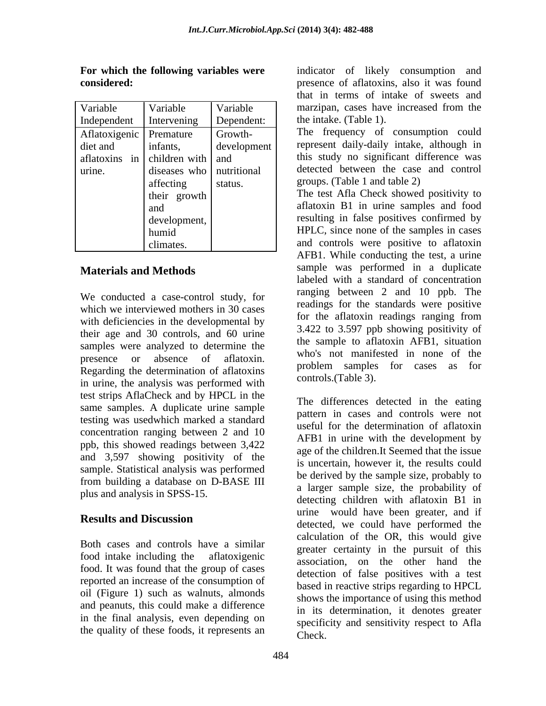| Variable                        | Variable                   | Variable    | marzipan, cases have increased from the   |
|---------------------------------|----------------------------|-------------|-------------------------------------------|
| Independent                     | Intervening                | Dependent:  | the intake. (Table 1).                    |
| Aflatoxigenic Premature         |                            | Growth-     | The frequency of consumption could        |
| diet and                        | infants,                   | development | represent daily-daily intake, although in |
| aflatoxins in children with and |                            |             | this study no significant difference was  |
| urine.                          | diseases who   nutritional |             | detected between the case and control     |
|                                 | affecting                  | status.     | groups. (Table 1 and table 2)             |
|                                 | their growth               |             | The test Afla Check showed positivity to  |
|                                 | and                        |             | aflatoxin B1 in urine samples and food    |
|                                 | development,               |             | resulting in false positives confirmed by |
|                                 | humid                      |             | HPLC, since none of the samples in cases  |
|                                 | climates.                  |             | and controls were positive to aflatoxin   |

We conducted a case-control study, for which we interviewed mothers in 30 cases with deficiencies in the developmental by their age and 30 controls, and 60 urine samples were analyzed to determine the Regarding the determination of aflatoxins in urine, the analysis was performed with test strips AflaCheck and by HPCL in the same samples. A duplicate urine sample testing was usedwhich marked a standard concentration ranging between 2 and 10 ppb, this showed readings between 3,422 and 3,597 showing positivity of the sample. Statistical analysis was performed from building a database on D-BASE III plus and analysis in SPSS-15.

Both cases and controls have a similar food. It was found that the group of cases reported an increase of the consumption of oil (Figure 1) such as walnuts, almonds and peanuts, this could make a difference in the final analysis, even depending on the quality of these foods, it represents an

**For which the following variables were** indicator of likely consumption and **considered: considered: presence of aflatoxins**, also it was found Variable Variable Variable marzipan, cases have increased from the Intervening Dependent: the intake. (Table 1). that in terms of intake of sweets and

their growth The test Afla Check showed positivity to and aflatoxin B1 in urine samples and food development, resulting in false positives confirmed by humid HPLC, since none of the samples in cases climates. and controls were positive to aflatoxin **Materials and Methods** sample was performed in a duplicate presence or absence of aflatoxin. Who's not mannested in none or the AFB1. While conducting the test, a urine labeled with a standard of concentration ranging between 2 and 10 ppb. The readings for the standards were positive for the aflatoxin readings ranging from 3.422 to 3.597 ppb showing positivity of the sample to aflatoxin AFB1, situation who's not manifested in none of the problem samples for cases as for controls.(Table 3).

**Results and Discussion** food intake including the aflatoxigenic association, on the other hand the The differences detected in the eating pattern in cases and controls were not useful for the determination of aflatoxin AFB1 in urine with the development by age of the children.It Seemed that the issue is uncertain, however it, the results could be derived by the sample size, probably to a larger sample size, the probability of detecting children with aflatoxin B1 in urine would have been greater, and if detected, we could have performed the calculation of the OR, this would give greater certainty in the pursuit of this detection of false positives with a test based in reactive strips regarding to HPCL shows the importance of using this method in its determination, it denotes greater specificity and sensitivity respect to Afla Check.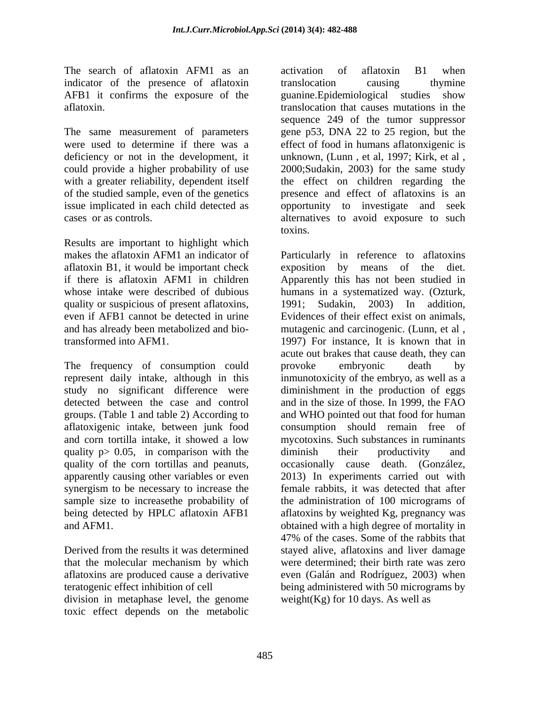The search of aflatoxin AFM1 as an activation of aflatoxin B1 when indicator of the presence of aflatoxin translocation causing thymine AFB1 it confirms the exposure of the

The same measurement of parameters of the studied sample, even of the genetics

Results are important to highlight which makes the aflatoxin AFM1 an indicator of Particularly in reference to aflatoxins aflatoxin B1, it would be important check exposition by means of the diet. quality or suspicious of present aflatoxins, 1991; Sudakin, 2003) In addition,

The frequency of consumption could provoke embryonic death by groups. (Table 1 and table 2) According to quality  $p > 0.05$ , in comparison with the diminish their productivity and quality of the corn tortillas and peanuts, being detected by HPLC aflatoxin AFB1

that the molecular mechanism by which aflatoxins are produced cause a derivative division in metaphase level, the genome toxic effect depends on the metabolic

aflatoxin. translocation that causes mutations in the were used to determine if there was a effect of food in humans aflatonxigenic is deficiency or not in the development, it unknown, (Lunn, et al, 1997; Kirk, et al, could provide a higher probability of use 2000;Sudakin, 2003) forthe same study with a greater reliability, dependent itself the effect on children regarding the issue implicated in each child detected as opportunity to investigate and seek cases or as controls. alternatives to avoid exposure to such activation of aflatoxin B1 when translocation causing thymine guanine.Epidemiological studies show sequence 249 of the tumor suppressor gene p53, DNA 22 to 25 region, but the presence and effect of aflatoxins is an toxins.

if there is aflatoxin AFM1 in children Apparently this has not been studied in whose intake were described of dubious humans in a systematized way. (Ozturk, even if AFB1 cannot be detected in urine Evidences of their effect exist on animals, and has already been metabolized and bio-mutagenic and carcinogenic. (Lunn, et al , transformed into AFM1. 1997) For instance, It is known that in represent daily intake, although in this inmunotoxicity of the embryo, as well as a study no significant difference were diminishment in the production of eggs detected between the case and control and in the size of those. In 1999, the FAO aflatoxigenic intake, between junk food consumption should remain free of and corn tortilla intake, it showed a low mycotoxins. Such substances in ruminants apparently causing other variables or even 2013) In experiments carried out with synergism to be necessary to increase the female rabbits, it was detected that after sample size to increasethe probability of the administration of 100 micrograms of and AFM1. obtained with a high degree of mortality in Derived from the results it was determined stayed alive, aflatoxins and liver damage teratogenic effect inhibition of cell being administered with 50 micrograms by exposition by means of 1991; Sudakin,2003) In addition, acute out brakes that cause death, they can provoke embryonic death by and WHO pointed out that food for human diminish their productivity and occasionally cause death. (González, aflatoxins by weighted Kg, pregnancy was 47% of the cases. Some of the rabbits that stayed alive, aflatoxins and liver damage were determined; their birth rate was zero even (Galán and Rodríguez, 2003) when weight( $Kg$ ) for 10 days. As well as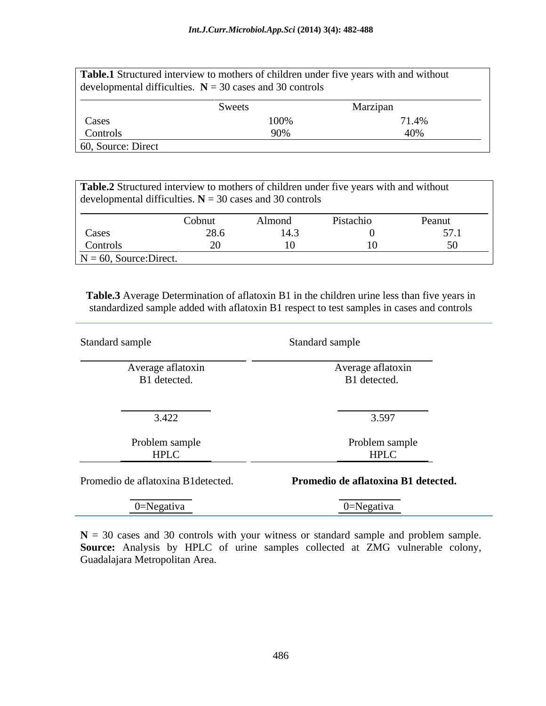|                    | developmental difficulties. $N = 30$ cases and 30 controls | Table.1 Structured interview to mothers of children under five years with and without |  |  |  |  |
|--------------------|------------------------------------------------------------|---------------------------------------------------------------------------------------|--|--|--|--|
|                    | <b>S</b> weets                                             | Marzipan                                                                              |  |  |  |  |
| Cases              |                                                            |                                                                                       |  |  |  |  |
| Controls           |                                                            |                                                                                       |  |  |  |  |
| 60, Source: Direct |                                                            |                                                                                       |  |  |  |  |

**Table.2** Structured interview to mothers of children under five years with and without developmental difficulties.  $N = 30$  cases and 30 controls  $N = 60$ , Source: Direct. Cobnut Almond Pistachio Peanut Cases 28.6 14.3 0 57.1 | Controls 20 10 10 50 10

**Table.3** Average Determination of aflatoxin B1 in the children urine less than five years in standardized sample added with aflatoxin B1 respect to test samples in cases and controls

| Standard sample                                                                          | Standard sample                     |
|------------------------------------------------------------------------------------------|-------------------------------------|
| Average aflatoxin<br>B1 detected.                                                        | Average aflatoxin<br>B1 detected.   |
|                                                                                          |                                     |
| 3.422                                                                                    | 3.597                               |
| Problem sample<br><b>HPLC</b>                                                            | Problem sample<br><b>HPLC</b>       |
| Promedio de aflatoxina B1detected.                                                       | Promedio de aflatoxina B1 detected. |
| the control of the control of the control of the control of the control of<br>0=Negativa | 0=Negativa                          |

 $N = 30$  cases and 30 controls with your witness or standard sample and problem sample. **Source:** Analysis by HPLC of urine samples collected at ZMG vulnerable colony, Guadalajara Metropolitan Area.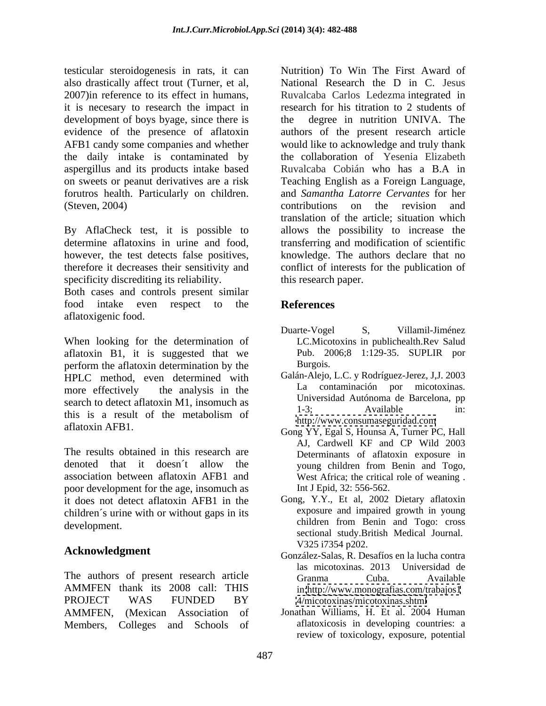testicular steroidogenesis in rats, it can also drastically affect trout (Turner, et al, 2007)in reference to its effect in humans, Ruvalcaba Carlos Ledezma integrated in it is necesary to research the impact in research for his titration to 2 students of development of boys byage, since there is evidence of the presence of aflatoxin authors of the present research article AFB1 candy some companies and whether would like to acknowledge and truly thank the daily intake is contaminated by aspergillus and its products intake based on sweets or peanut derivatives are a risk Teaching English as a Foreign Language, forutros health. Particularly on children. and *Samantha Latorre Cervantes* for her

By AflaCheck test, it is possible to allows the possibility to increase the determine aflatoxins in urine and food, transferring and modification of scientific however, the test detects false positives, knowledge. The authors declare that no therefore it decreases their sensitivity and conflict of interests for the publication of specificity discrediting its reliability.

Both cases and controls present similar food intake even respect to the **References** aflatoxigenic food.

When looking for the determination of aflatoxin B1, it is suggested that we Pub. 20<br>
nerform the aflatoxin determination by the Burgois. perform the aflatoxin determination by the HPLC method, even determined with more effectively the analysis in the  $\frac{La}{dt}$  contamination por micotoxinas. search to detect aflatoxin M1, insomuch as<br>  $1-3$ : Available in: this is a result of the metabolism of  $\frac{1-3}{\frac{1}{2}}$ ,  $\frac{1}{\frac{1}{2}}$ 

The results obtained in this research are denoted that it doesn't allow the young children from Benin and Togo, association between aflatoxin AFB1 and poor development for the age, insomuch as it does not detect aflatoxin AFB1 in the children´s urine with or without gaps in its development. **development** development.

The authors of present research article Granma Cuba. Available AMMFEN thank its 2008 call: THIS PROJECT WAS FUNDED BY 4/micotoxinas/micotoxinas.shtml AMMFEN, (Mexican Association of Members, Colleges and Schools of

(Steven, 2004) contributions on the revision and Nutrition) To Win The First Award of National Research the D in C. Jesus degree in nutrition UNIVA. The the collaboration of Yesenia Elizabeth Ruvalcaba Cobián who has a B.A in translation of the article; situation which this research paper.

# **References**

- Duarte-Vogel S, Villamil-Jiménez LC.Micotoxins in publichealth.Rev Salud Pub. 2006;8 1:129-35. SUPLIR por Burgois.
- Galán-Alejo, L.C. y Rodríguez-Jerez, J,J. 2003 La contaminación por micotoxinas. Universidad Autónoma de Barcelona, pp 1-3; Available in: <http://www.consumaseguridad.com>
- aflatoxin AFB1.<br>
Gong YY, Egal S, Hounsa A, Turner PC, Hall AJ, Cardwell KF and CP Wild 2003 Determinants of aflatoxin exposure in young children from Benin and Togo, West Africa; the critical role of weaning . Int J Epid, 32: 556-562.
	- Gong, Y.Y., Et al, 2002 Dietary aflatoxin exposure and impaired growth in young children from Benin and Togo: cross sectional study.British Medical Journal. V325 i7354 p202.
- **Acknowledgment**<br>
González-Salas, R. Desafíos en la lucha contra las micotoxinas. 2013 Universidad de Granma Cuba. Available in[:http://www.monografias.com/trabajos1](http://www.monografias.com/trabajos1) <4/micotoxinas/micotoxinas.shtml>
	- Jonathan Williams, H. Et al. 2004 Human aflatoxicosis in developing countries: a review of toxicology, exposure, potential